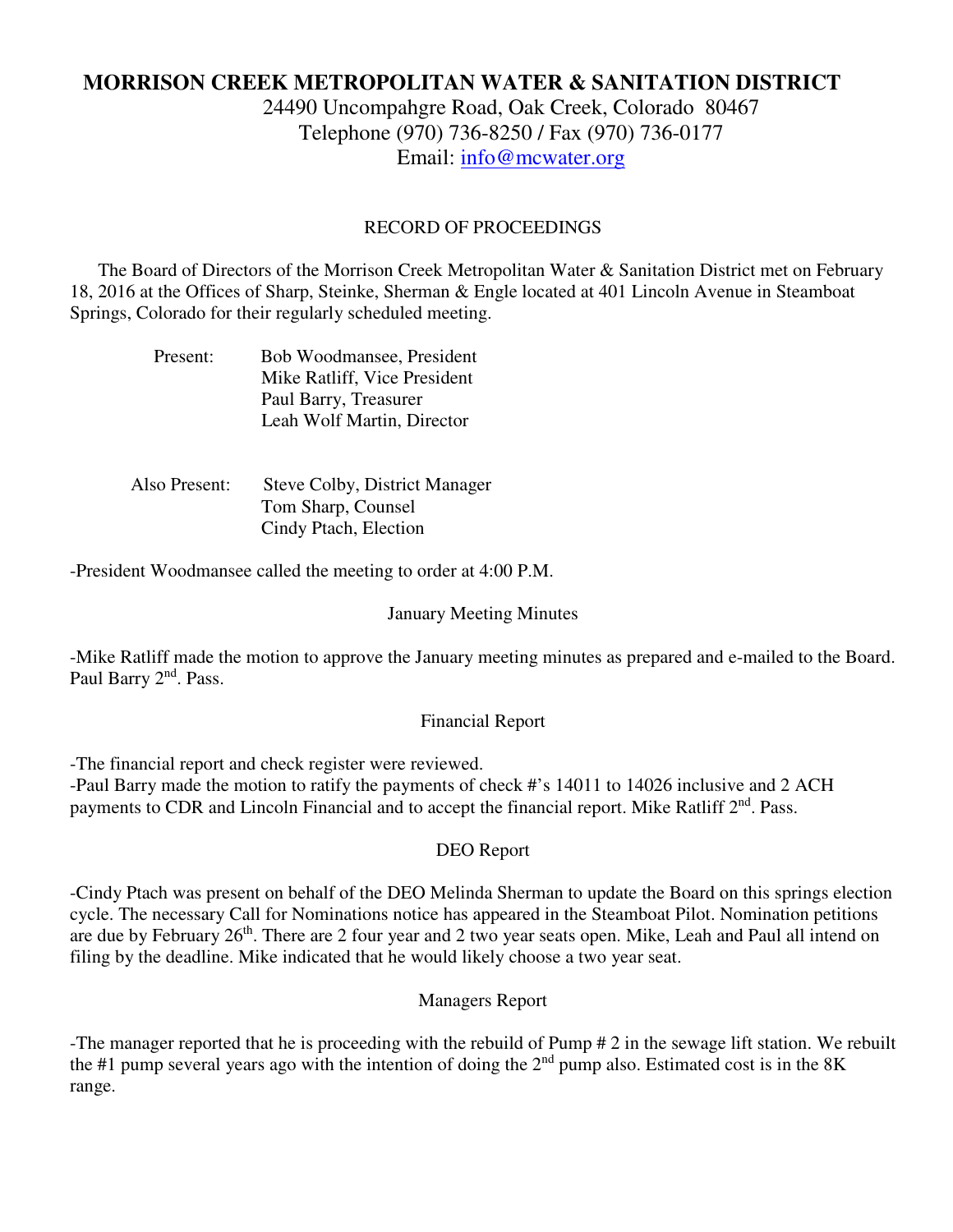# **MORRISON CREEK METROPOLITAN WATER & SANITATION DISTRICT**

24490 Uncompahgre Road, Oak Creek, Colorado 80467 Telephone (970) 736-8250 / Fax (970) 736-0177 Email: info@mcwater.org

## RECORD OF PROCEEDINGS

 The Board of Directors of the Morrison Creek Metropolitan Water & Sanitation District met on February 18, 2016 at the Offices of Sharp, Steinke, Sherman & Engle located at 401 Lincoln Avenue in Steamboat Springs, Colorado for their regularly scheduled meeting.

| Present: | Bob Woodmansee, President    |
|----------|------------------------------|
|          | Mike Ratliff, Vice President |
|          | Paul Barry, Treasurer        |
|          | Leah Wolf Martin, Director   |

| Also Present: | Steve Colby, District Manager |
|---------------|-------------------------------|
|               | Tom Sharp, Counsel            |
|               | Cindy Ptach, Election         |

-President Woodmansee called the meeting to order at 4:00 P.M.

#### January Meeting Minutes

-Mike Ratliff made the motion to approve the January meeting minutes as prepared and e-mailed to the Board. Paul Barry 2<sup>nd</sup>. Pass.

#### Financial Report

-The financial report and check register were reviewed.

-Paul Barry made the motion to ratify the payments of check #'s 14011 to 14026 inclusive and 2 ACH payments to CDR and Lincoln Financial and to accept the financial report. Mike Ratliff 2<sup>nd</sup>. Pass.

#### DEO Report

-Cindy Ptach was present on behalf of the DEO Melinda Sherman to update the Board on this springs election cycle. The necessary Call for Nominations notice has appeared in the Steamboat Pilot. Nomination petitions are due by February 26<sup>th</sup>. There are 2 four year and 2 two year seats open. Mike, Leah and Paul all intend on filing by the deadline. Mike indicated that he would likely choose a two year seat.

## Managers Report

-The manager reported that he is proceeding with the rebuild of Pump # 2 in the sewage lift station. We rebuilt the #1 pump several years ago with the intention of doing the  $2<sup>nd</sup>$  pump also. Estimated cost is in the 8K range.